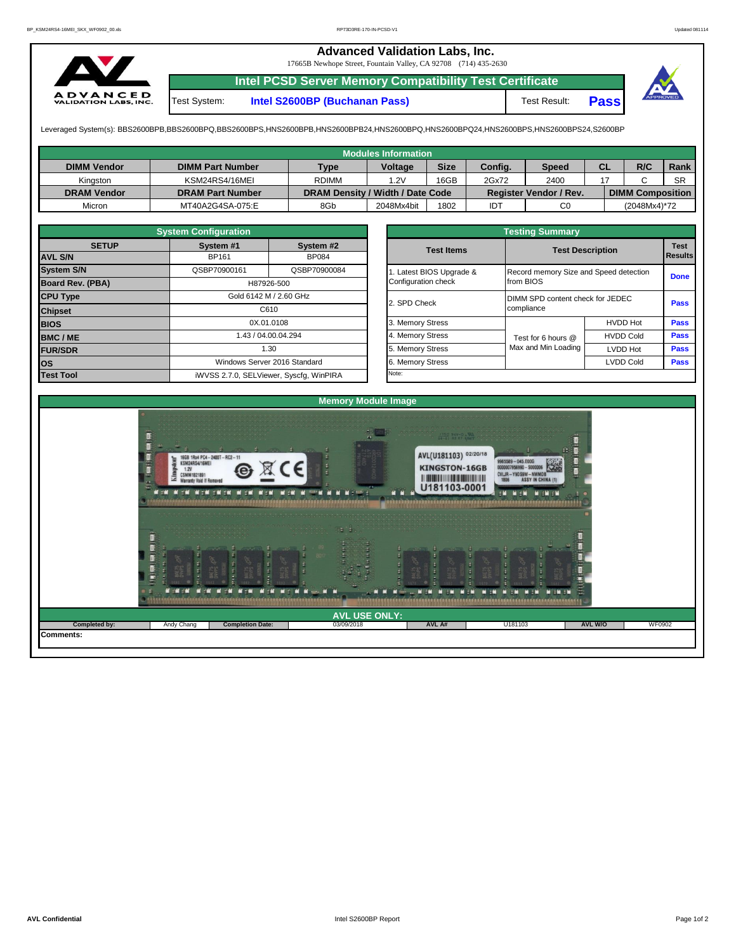## **Advanced Validation Labs, Inc.**

17665B Newhope Street, Fountain Valley, CA 92708 (714) 435-2630



**Intel PCSD Server Memory Compatibility Test Certificate** Test System: **Intel S2600BP (Buchanan Pass)** Test Result: **Pass**



Leveraged System(s): BBS2600BPB,BBS2600BPQ,BBS2600BPS,HNS2600BPB,HNS2600BPB24,HNS2600BPQ,HNS2600BPQ24,HNS2600BPS,HNS2600BPS24,S2600BP

|                    |                         |                                  | <b>Modules Information</b> |             |         |                               |           |                         |           |
|--------------------|-------------------------|----------------------------------|----------------------------|-------------|---------|-------------------------------|-----------|-------------------------|-----------|
| <b>DIMM Vendor</b> | <b>DIMM Part Number</b> | Type                             | <b>Voltage</b>             | <b>Size</b> | Config. | Speed                         | <b>CL</b> | R/C                     | Rank      |
| Kinaston           | KSM24RS4/16MEI          | <b>RDIMM</b>                     | 1.2V                       | 16GB        | 2Gx72   | 2400                          |           |                         | <b>SR</b> |
| <b>DRAM Vendor</b> | <b>DRAM Part Number</b> | DRAM Density / Width / Date Code |                            |             |         | <b>Register Vendor / Rev.</b> |           | <b>DIMM Composition</b> |           |
| Micron             | MT40A2G4SA-075:E        | 8Gb                              | 2048Mx4bit                 | 1802        | IDT     | C <sub>0</sub>                |           | (2048Mx4)*72            |           |

|                         | <b>System Configuration</b>             |                              | <b>Testing Summary</b> |                                        |                         |             |  |  |  |  |  |  |
|-------------------------|-----------------------------------------|------------------------------|------------------------|----------------------------------------|-------------------------|-------------|--|--|--|--|--|--|
| <b>SETUP</b>            | System #1                               | System #2                    | <b>Test Items</b>      |                                        | <b>Test Description</b> | <b>Test</b> |  |  |  |  |  |  |
| <b>AVL S/N</b>          | BP161                                   | <b>BP084</b>                 |                        |                                        |                         | Results     |  |  |  |  |  |  |
| <b>System S/N</b>       | QSBP70900161                            | QSBP70900084                 | Latest BIOS Upgrade &  | Record memory Size and Speed detection |                         | <b>Done</b> |  |  |  |  |  |  |
| <b>Board Rev. (PBA)</b> |                                         | H87926-500                   | Configuration check    | from BIOS                              |                         |             |  |  |  |  |  |  |
| <b>CPU Type</b>         | Gold 6142 M / 2.60 GHz                  |                              | 2. SPD Check           | DIMM SPD content check for JEDEC       |                         |             |  |  |  |  |  |  |
| <b>Chipset</b>          | C610                                    |                              |                        | compliance                             | Pass                    |             |  |  |  |  |  |  |
| <b>BIOS</b>             |                                         | 0X.01.0108                   | 3. Memory Stress       |                                        | <b>HVDD Hot</b>         | <b>Pass</b> |  |  |  |  |  |  |
| <b>BMC/ME</b>           |                                         | 1.43 / 04.00.04.294          | 4. Memory Stress       | Test for 6 hours @                     | <b>HVDD Cold</b>        | <b>Pass</b> |  |  |  |  |  |  |
| <b>FUR/SDR</b>          |                                         | 1.30                         | 5. Memory Stress       | Max and Min Loading                    | <b>LVDD Hot</b>         | <b>Pass</b> |  |  |  |  |  |  |
| lOS.                    |                                         | Windows Server 2016 Standard | 6. Memory Stress       |                                        | <b>LVDD Cold</b>        | <b>Pass</b> |  |  |  |  |  |  |
| <b>Test Tool</b>        | iWVSS 2.7.0, SELViewer, Syscfg, WinPIRA |                              | Note:                  |                                        |                         |             |  |  |  |  |  |  |

|              | <b>System Configuration</b> |                                    | <b>Testing Summary</b> |                     |                                                                   |             |  |  |  |  |
|--------------|-----------------------------|------------------------------------|------------------------|---------------------|-------------------------------------------------------------------|-------------|--|--|--|--|
| <b>SETUP</b> | System #1                   | System #2                          | <b>Test Items</b>      |                     | <b>Test Description</b><br>Record memory Size and Speed detection |             |  |  |  |  |
|              | BP161                       | <b>BP084</b>                       |                        |                     |                                                                   |             |  |  |  |  |
|              | QSBP70900161                | QSBP70900084                       | Latest BIOS Upgrade &  |                     |                                                                   |             |  |  |  |  |
| PBA)         |                             | H87926-500                         | Configuration check    | from BIOS           |                                                                   |             |  |  |  |  |
|              |                             | Gold 6142 M / 2.60 GHz             | 2. SPD Check           |                     | DIMM SPD content check for JEDEC<br>compliance                    |             |  |  |  |  |
|              |                             | C610                               |                        |                     |                                                                   |             |  |  |  |  |
|              |                             | 0X.01.0108                         | 3. Memory Stress       |                     | <b>HVDD Hot</b>                                                   | Pass        |  |  |  |  |
|              |                             | 1.43 / 04.00.04.294                | 4. Memory Stress       | Test for 6 hours @  | <b>HVDD Cold</b>                                                  | <b>Pass</b> |  |  |  |  |
|              |                             | 1.30                               | 5. Memory Stress       | Max and Min Loading | LVDD Hot                                                          | Pass        |  |  |  |  |
|              |                             | Windows Server 2016 Standard       |                        |                     | <b>LVDD Cold</b>                                                  |             |  |  |  |  |
|              |                             | iMVSS 270 SELViewer Svecta WinPIRA | Note:                  |                     |                                                                   |             |  |  |  |  |